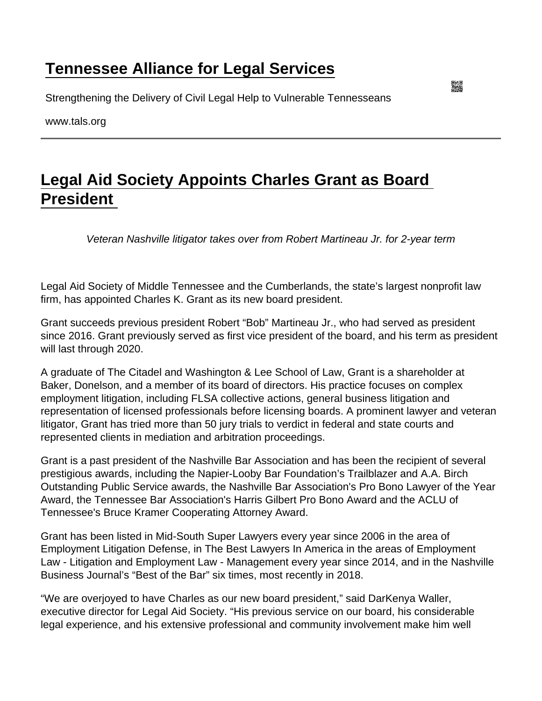## [Tennessee Alliance for Legal Services](https://www.tals.org/)

Strengthening the Delivery of Civil Legal Help to Vulnerable Tennesseans

www.tals.org

## [Legal Aid Society Appoints Charles Grant as Board](https://www.tals.org/node/1054/legal-aid-society-appoints-charles-grant-board-president)  [President](https://www.tals.org/node/1054/legal-aid-society-appoints-charles-grant-board-president)

Veteran Nashville litigator takes over from Robert Martineau Jr. for 2-year term

Legal Aid Society of Middle Tennessee and the Cumberlands, the state's largest nonprofit law firm, has appointed Charles K. Grant as its new board president.

Grant succeeds previous president Robert "Bob" Martineau Jr., who had served as president since 2016. Grant previously served as first vice president of the board, and his term as president will last through 2020.

A graduate of The Citadel and Washington & Lee School of Law, Grant is a shareholder at Baker, Donelson, and a member of its board of directors. His practice focuses on complex employment litigation, including FLSA collective actions, general business litigation and representation of licensed professionals before licensing boards. A prominent lawyer and veteran litigator, Grant has tried more than 50 jury trials to verdict in federal and state courts and represented clients in mediation and arbitration proceedings.

Grant is a past president of the Nashville Bar Association and has been the recipient of several prestigious awards, including the Napier-Looby Bar Foundation's Trailblazer and A.A. Birch Outstanding Public Service awards, the Nashville Bar Association's Pro Bono Lawyer of the Year Award, the Tennessee Bar Association's Harris Gilbert Pro Bono Award and the ACLU of Tennessee's Bruce Kramer Cooperating Attorney Award.

Grant has been listed in Mid-South Super Lawyers every year since 2006 in the area of Employment Litigation Defense, in The Best Lawyers In America in the areas of Employment Law - Litigation and Employment Law - Management every year since 2014, and in the Nashville Business Journal's "Best of the Bar" six times, most recently in 2018.

"We are overjoyed to have Charles as our new board president," said DarKenya Waller, executive director for Legal Aid Society. "His previous service on our board, his considerable legal experience, and his extensive professional and community involvement make him well